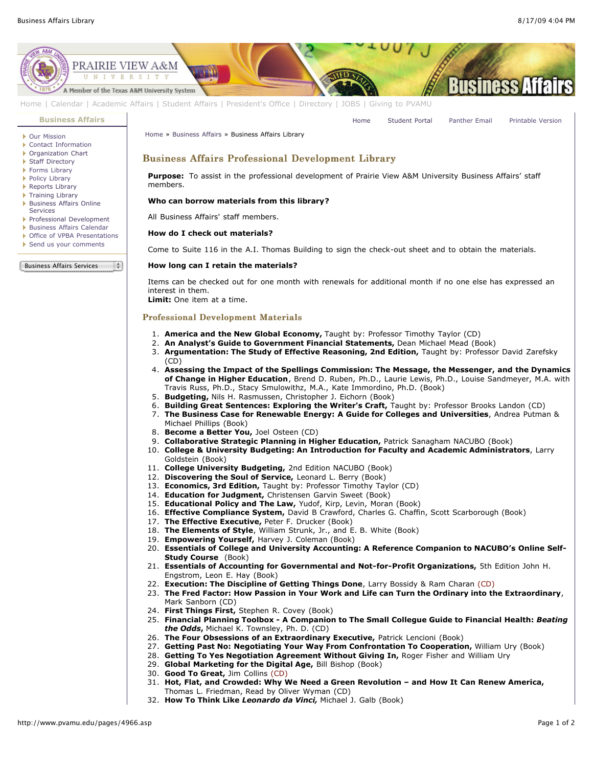

- 28. **Getting To Yes Negotiation Agreement Without Giving In,** Roger Fisher and William Ury
	- 29. **Global Marketing for the Digital Age,** Bill Bishop (Book)
- 30. **Good To Great,** Jim Collins (CD)
- 31. **Hot, Flat, and Crowded: Why We Need a Green Revolution and How It Can Renew America,** Thomas L. Friedman, Read by Oliver Wyman (CD)
- 32. **How To Think Like** *Leonardo da Vinci,* Michael J. Galb (Book)